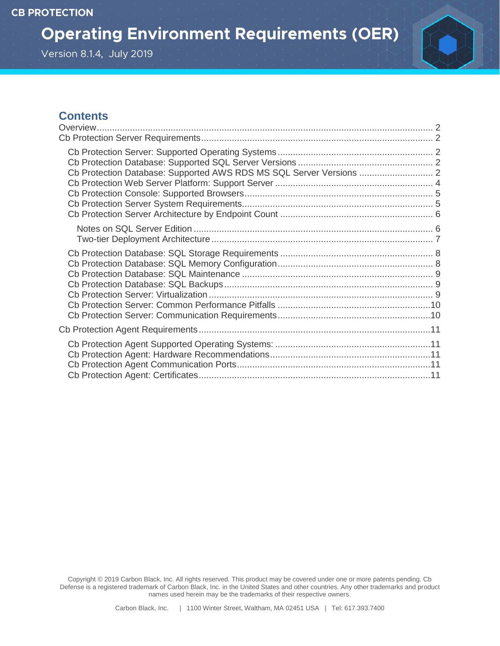**Operating Environment Requirements (OER)** 

# Version 8.1.4, July 2019



# **Contents**

| Cb Protection Database: Supported AWS RDS MS SQL Server Versions  2 |  |
|---------------------------------------------------------------------|--|
|                                                                     |  |
|                                                                     |  |
|                                                                     |  |
|                                                                     |  |

Copyright © 2019 Carbon Black, Inc. All rights reserved. This product may be covered under one or more patents pending. Cb Defense is a registered trademark of Carbon Black, Inc. in the United States and other countries. Any other trademarks and product names used herein may be the trademarks of their respective owners.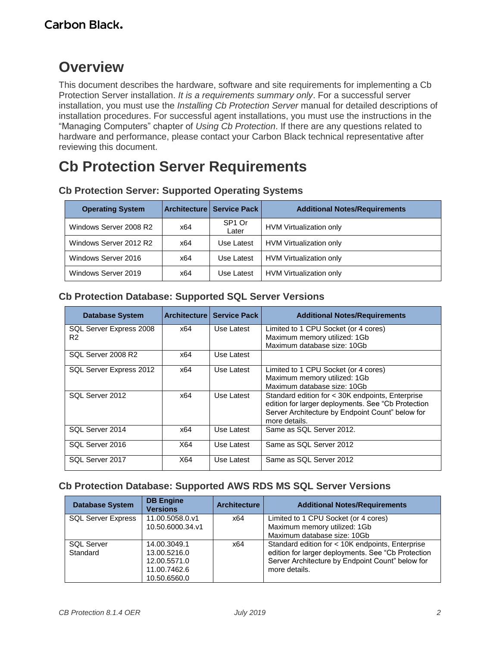# <span id="page-1-0"></span>**Overview**

This document describes the hardware, software and site requirements for implementing a Cb Protection Server installation. *It is a requirements summary only*. For a successful server installation, you must use the *Installing Cb Protection Server* manual for detailed descriptions of installation procedures. For successful agent installations, you must use the instructions in the "Managing Computers" chapter of *Using Cb Protection*. If there are any questions related to hardware and performance, please contact your Carbon Black technical representative after reviewing this document.

# <span id="page-1-1"></span>**Cb Protection Server Requirements**

| <b>Operating System</b> |     | <b>Architecture   Service Pack  </b> | <b>Additional Notes/Requirements</b> |
|-------------------------|-----|--------------------------------------|--------------------------------------|
| Windows Server 2008 R2  | x64 | SP <sub>1</sub> Or<br>Later          | HVM Virtualization only              |
| Windows Server 2012 R2  | x64 | Use Latest                           | HVM Virtualization only              |
| Windows Server 2016     | x64 | Use Latest                           | HVM Virtualization only              |
| Windows Server 2019     | x64 | Use Latest                           | HVM Virtualization only              |

# <span id="page-1-2"></span>**Cb Protection Server: Supported Operating Systems**

### <span id="page-1-3"></span>**Cb Protection Database: Supported SQL Server Versions**

| <b>Database System</b>  |     | <b>Architecture   Service Pack  </b> | <b>Additional Notes/Requirements</b>                                                                                                                                        |
|-------------------------|-----|--------------------------------------|-----------------------------------------------------------------------------------------------------------------------------------------------------------------------------|
| SQL Server Express 2008 | x64 | Use Latest                           | Limited to 1 CPU Socket (or 4 cores)                                                                                                                                        |
| R <sub>2</sub>          |     |                                      | Maximum memory utilized: 1Gb                                                                                                                                                |
|                         |     |                                      | Maximum database size: 10Gb                                                                                                                                                 |
| SQL Server 2008 R2      | x64 | Use Latest                           |                                                                                                                                                                             |
| SQL Server Express 2012 | x64 | Use Latest                           | Limited to 1 CPU Socket (or 4 cores)                                                                                                                                        |
|                         |     |                                      | Maximum memory utilized: 1Gb                                                                                                                                                |
|                         |     |                                      | Maximum database size: 10Gb                                                                                                                                                 |
| SQL Server 2012         | x64 | Use Latest                           | Standard edition for < 30K endpoints, Enterprise<br>edition for larger deployments. See "Cb Protection<br>Server Architecture by Endpoint Count" below for<br>more details. |
| SQL Server 2014         | x64 | Use Latest                           | Same as SQL Server 2012.                                                                                                                                                    |
| SQL Server 2016         | X64 | Use Latest                           | Same as SQL Server 2012                                                                                                                                                     |
| SQL Server 2017         | X64 | Use Latest                           | Same as SQL Server 2012                                                                                                                                                     |

### <span id="page-1-4"></span>**Cb Protection Database: Supported AWS RDS MS SQL Server Versions**

| <b>Database System</b>    | <b>DB Engine</b><br><b>Versions</b> | <b>Architecture</b> | <b>Additional Notes/Requirements</b>               |
|---------------------------|-------------------------------------|---------------------|----------------------------------------------------|
| <b>SQL Server Express</b> | 11.00.5058.0.v1                     | x64                 | Limited to 1 CPU Socket (or 4 cores)               |
|                           | 10.50.6000.34.v1                    |                     | Maximum memory utilized: 1Gb                       |
|                           |                                     |                     | Maximum database size: 10Gb                        |
| <b>SQL Server</b>         | 14.00.3049.1                        | x64                 | Standard edition for < 10K endpoints, Enterprise   |
| Standard                  | 13.00.5216.0                        |                     | edition for larger deployments. See "Cb Protection |
|                           | 12.00.5571.0                        |                     | Server Architecture by Endpoint Count" below for   |
|                           | 11.00.7462.6                        |                     | more details.                                      |
|                           | 10.50.6560.0                        |                     |                                                    |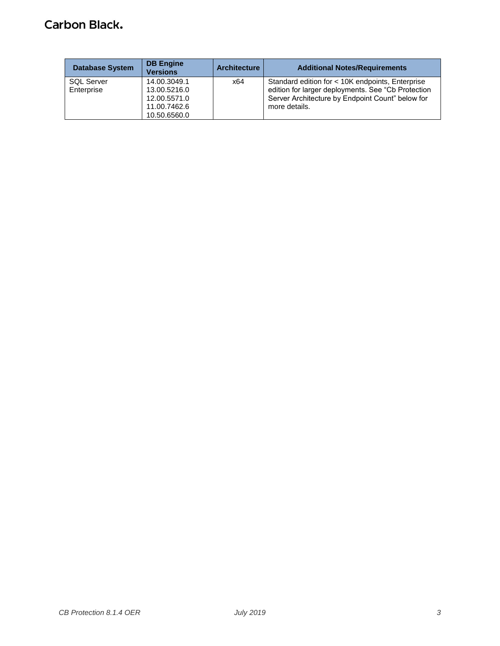# **Carbon Black.**

| <b>Database System</b>          | <b>DB Engine</b><br><b>Versions</b>          | <b>Architecture</b> | <b>Additional Notes/Requirements</b>                                                                                                                       |
|---------------------------------|----------------------------------------------|---------------------|------------------------------------------------------------------------------------------------------------------------------------------------------------|
| <b>SQL Server</b><br>Enterprise | 14.00.3049.1<br>13.00.5216.0<br>12.00.5571.0 | x64                 | Standard edition for < 10K endpoints, Enterprise<br>edition for larger deployments. See "Cb Protection<br>Server Architecture by Endpoint Count" below for |
|                                 | 11.00.7462.6<br>10.50.6560.0                 |                     | more details.                                                                                                                                              |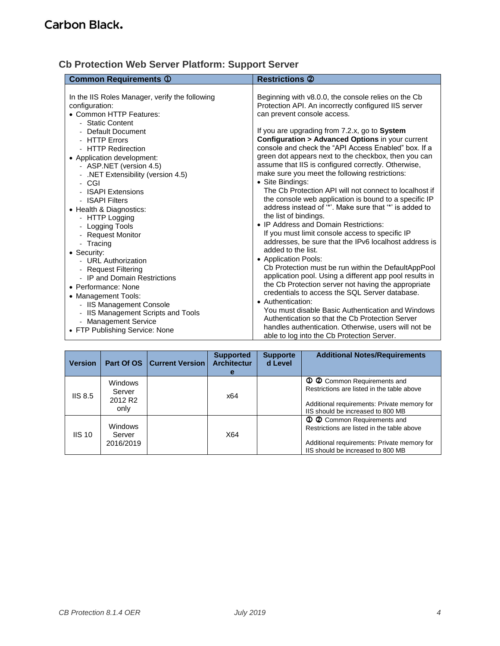# <span id="page-3-0"></span>**Cb Protection Web Server Platform: Support Server**

| <b>Common Requirements ①</b>                                                                                                                                                                                                                                                                                                                                                                                                                                                                                                                                      | <b>Restrictions 2</b>                                                                                                                                                                                                                                                                                                                                                                                                                                                                                                                                                                                                                                                                                                                                                                                                                                                                                                                                                                                                                                                                    |
|-------------------------------------------------------------------------------------------------------------------------------------------------------------------------------------------------------------------------------------------------------------------------------------------------------------------------------------------------------------------------------------------------------------------------------------------------------------------------------------------------------------------------------------------------------------------|------------------------------------------------------------------------------------------------------------------------------------------------------------------------------------------------------------------------------------------------------------------------------------------------------------------------------------------------------------------------------------------------------------------------------------------------------------------------------------------------------------------------------------------------------------------------------------------------------------------------------------------------------------------------------------------------------------------------------------------------------------------------------------------------------------------------------------------------------------------------------------------------------------------------------------------------------------------------------------------------------------------------------------------------------------------------------------------|
| In the IIS Roles Manager, verify the following<br>configuration:<br>• Common HTTP Features:<br>- Static Content<br>Default Document<br>- HTTP Errors<br>- HTTP Redirection<br>• Application development:<br>- ASP.NET (version 4.5)<br>.NET Extensibility (version 4.5)<br>$\blacksquare$<br>- CGI<br>- ISAPI Extensions<br>- ISAPI Filters<br>• Health & Diagnostics:<br>- HTTP Logging<br>- Logging Tools<br>- Request Monitor<br>- Tracing<br>• Security:<br>- URL Authorization<br>- Request Filtering<br>- IP and Domain Restrictions<br>• Performance: None | Beginning with v8.0.0, the console relies on the Cb<br>Protection API. An incorrectly configured IIS server<br>can prevent console access.<br>If you are upgrading from 7.2.x, go to System<br><b>Configuration &gt; Advanced Options in your current</b><br>console and check the "API Access Enabled" box. If a<br>green dot appears next to the checkbox, then you can<br>assume that IIS is configured correctly. Otherwise,<br>make sure you meet the following restrictions:<br>• Site Bindings:<br>The Cb Protection API will not connect to localhost if<br>the console web application is bound to a specific IP<br>address instead of "*". Make sure that "*" is added to<br>the list of bindings.<br>• IP Address and Domain Restrictions:<br>If you must limit console access to specific IP<br>addresses, be sure that the IPv6 localhost address is<br>added to the list.<br>• Application Pools:<br>Cb Protection must be run within the DefaultAppPool<br>application pool. Using a different app pool results in<br>the Cb Protection server not having the appropriate |
| • Management Tools:<br>- IIS Management Console<br>IIS Management Scripts and Tools<br>- Management Service<br>• FTP Publishing Service: None                                                                                                                                                                                                                                                                                                                                                                                                                     | credentials to access the SQL Server database.<br>• Authentication:<br>You must disable Basic Authentication and Windows<br>Authentication so that the Cb Protection Server<br>handles authentication. Otherwise, users will not be<br>able to log into the Cb Protection Server.                                                                                                                                                                                                                                                                                                                                                                                                                                                                                                                                                                                                                                                                                                                                                                                                        |

| <b>Version</b> |                                                  | Part Of OS   Current Version | <b>Supported</b><br><b>Architectur</b><br>е | <b>Supporte</b><br>d Level | <b>Additional Notes/Requirements</b>                                                                                                                          |
|----------------|--------------------------------------------------|------------------------------|---------------------------------------------|----------------------------|---------------------------------------------------------------------------------------------------------------------------------------------------------------|
| IIS 8.5        | Windows<br>Server<br>2012 R <sub>2</sub><br>only |                              | x64                                         |                            | 1 2 Common Requirements and<br>Restrictions are listed in the table above<br>Additional requirements: Private memory for<br>IIS should be increased to 800 MB |
| $IIS$ 10       | <b>Windows</b><br>Server<br>2016/2019            |                              | X64                                         |                            | 1 2 Common Requirements and<br>Restrictions are listed in the table above<br>Additional requirements: Private memory for<br>IIS should be increased to 800 MB |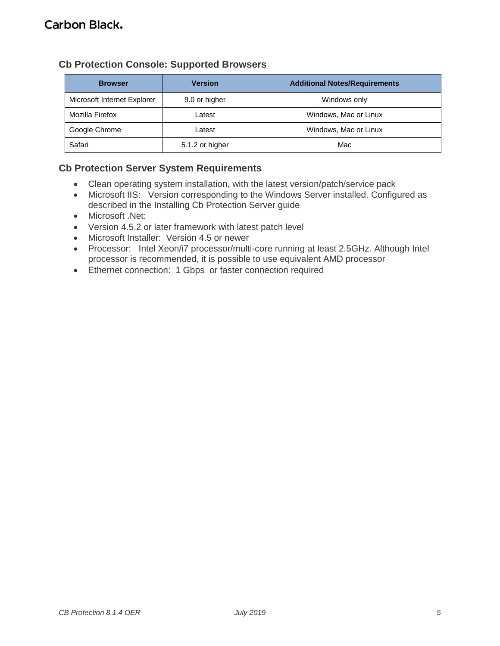# <span id="page-4-0"></span>**Cb Protection Console: Supported Browsers**

| <b>Browser</b>              | <b>Version</b>  | <b>Additional Notes/Requirements</b> |
|-----------------------------|-----------------|--------------------------------------|
| Microsoft Internet Explorer | 9.0 or higher   | Windows only                         |
| Mozilla Firefox             | Latest          | Windows, Mac or Linux                |
| Google Chrome               | Latest          | Windows, Mac or Linux                |
| Safari                      | 5.1.2 or higher | Mac                                  |

# <span id="page-4-1"></span>**Cb Protection Server System Requirements**

- Clean operating system installation, with the latest version/patch/service pack
- Microsoft IIS: Version corresponding to the Windows Server installed. Configured as described in the Installing Cb Protection Server guide
- Microsoft .Net:
- Version 4.5.2 or later framework with latest patch level
- Microsoft Installer: Version 4.5 or newer
- Processor: Intel Xeon/i7 processor/multi-core running at least 2.5GHz. Although Intel processor is recommended, it is possible to use equivalent AMD processor
- Ethernet connection: 1 Gbps or faster connection required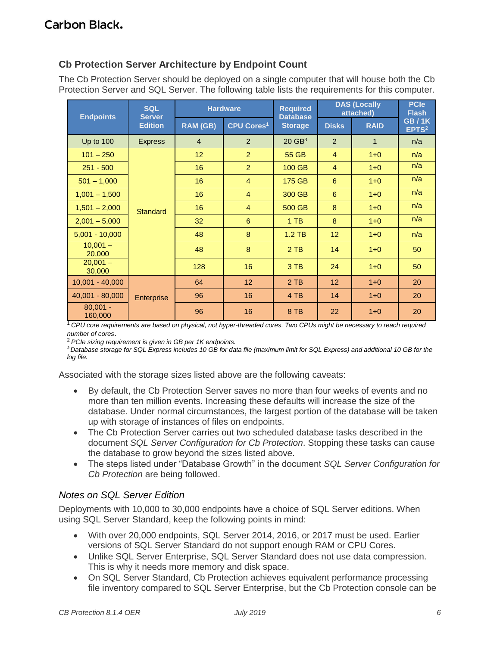## <span id="page-5-0"></span>**Cb Protection Server Architecture by Endpoint Count**

The Cb Protection Server should be deployed on a single computer that will house both the Cb Protection Server and SQL Server. The following table lists the requirements for this computer.

| <b>Endpoints</b>      | <b>SQL</b><br><b>Hardware</b><br><b>Server</b> |                 | <b>Required</b><br><b>Database</b> |                      | <b>DAS (Locally</b><br>attached) |              | <b>PCIe</b><br><b>Flash</b>       |
|-----------------------|------------------------------------------------|-----------------|------------------------------------|----------------------|----------------------------------|--------------|-----------------------------------|
|                       | <b>Edition</b>                                 | RAM (GB)        | <b>CPU Cores<sup>1</sup></b>       | <b>Storage</b>       | <b>Disks</b>                     | <b>RAID</b>  | <b>GB/1K</b><br>EPTS <sup>2</sup> |
| <b>Up to 100</b>      | <b>Express</b>                                 | $\overline{4}$  | 2                                  | $20$ GB <sup>3</sup> | 2                                | $\mathbf{1}$ | n/a                               |
| $101 - 250$           |                                                | 12 <sup>2</sup> | $\overline{2}$                     | 55 GB                | $\overline{4}$                   | $1 + 0$      | n/a                               |
| $251 - 500$           |                                                | 16              | $\overline{2}$                     | 100 GB               | $\overline{4}$                   | $1+0$        | n/a                               |
| $501 - 1,000$         |                                                | 16              | $\overline{4}$                     | 175 GB               | 6                                | $1 + 0$      | n/a                               |
| $1,001 - 1,500$       |                                                | 16              | $\overline{4}$                     | 300 GB               | 6                                | $1+0$        | n/a                               |
| $1,501 - 2,000$       | <b>Standard</b>                                | 16              | $\overline{4}$                     | 500 GB               | 8                                | $1 + 0$      | n/a                               |
| $2,001 - 5,000$       |                                                | 32 <sub>2</sub> | 6                                  | $1$ TB               | 8                                | $1+0$        | n/a                               |
| $5,001 - 10,000$      |                                                | 48              | 8                                  | $1.2$ TB             | 12                               | $1+0$        | n/a                               |
| $10,001 -$<br>20,000  |                                                | 48              | 8                                  | $2$ TB               | 14                               | $1 + 0$      | 50                                |
| $20,001 -$<br>30,000  |                                                | 128             | 16                                 | 3 TB                 | 24                               | $1 + 0$      | 50                                |
| $10,001 - 40,000$     |                                                | 64              | 12 <sup>2</sup>                    | $2$ TB               | 12                               | $1+0$        | 20                                |
| 40,001 - 80,000       | Enterprise                                     | 96              | 16                                 | 4 TB                 | 14                               | $1 + 0$      | 20                                |
| $80,001 -$<br>160,000 |                                                | 96              | 16                                 | 8 TB                 | 22                               | $1 + 0$      | 20                                |

<sup>1</sup>*CPU core requirements are based on physical, not hyper-threaded cores. Two CPUs might be necessary to reach required number of cores*.

<sup>2</sup>*PCIe sizing requirement is given in GB per 1K endpoints.* 

*<sup>3</sup>Database storage for SQL Express includes 10 GB for data file (maximum limit for SQL Express) and additional 10 GB for the log file.*

Associated with the storage sizes listed above are the following caveats:

- By default, the Cb Protection Server saves no more than four weeks of events and no more than ten million events. Increasing these defaults will increase the size of the database. Under normal circumstances, the largest portion of the database will be taken up with storage of instances of files on endpoints.
- The Cb Protection Server carries out two scheduled database tasks described in the document *SQL Server Configuration for Cb Protection*. Stopping these tasks can cause the database to grow beyond the sizes listed above.
- The steps listed under "Database Growth" in the document *SQL Server Configuration for Cb Protection* are being followed.

### <span id="page-5-1"></span>*Notes on SQL Server Edition*

Deployments with 10,000 to 30,000 endpoints have a choice of SQL Server editions. When using SQL Server Standard, keep the following points in mind:

- With over 20,000 endpoints, SQL Server 2014, 2016, or 2017 must be used. Earlier versions of SQL Server Standard do not support enough RAM or CPU Cores.
- Unlike SQL Server Enterprise, SQL Server Standard does not use data compression. This is why it needs more memory and disk space.
- On SQL Server Standard, Cb Protection achieves equivalent performance processing file inventory compared to SQL Server Enterprise, but the Cb Protection console can be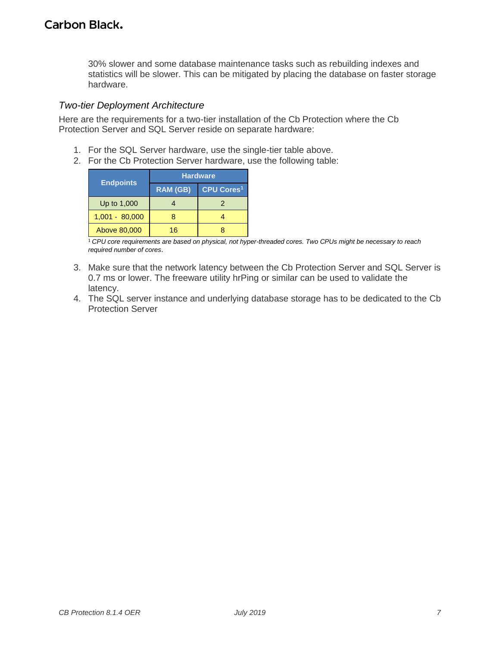30% slower and some database maintenance tasks such as rebuilding indexes and statistics will be slower. This can be mitigated by placing the database on faster storage hardware.

#### <span id="page-6-0"></span>*Two-tier Deployment Architecture*

Here are the requirements for a two-tier installation of the Cb Protection where the Cb Protection Server and SQL Server reside on separate hardware:

- 1. For the SQL Server hardware, use the single-tier table above.
- 2. For the Cb Protection Server hardware, use the following table:

|                  | <b>Hardware</b> |                        |  |  |
|------------------|-----------------|------------------------|--|--|
| <b>Endpoints</b> | <b>RAM (GB)</b> | CPU Cores <sup>1</sup> |  |  |
| Up to 1,000      |                 |                        |  |  |
| $1,001 - 80,000$ |                 |                        |  |  |
| Above 80,000     | 16              |                        |  |  |

1 *CPU core requirements are based on physical, not hyper-threaded cores. Two CPUs might be necessary to reach required number of cores*.

- 3. Make sure that the network latency between the Cb Protection Server and SQL Server is 0.7 ms or lower. The freeware utility hrPing or similar can be used to validate the latency.
- 4. The SQL server instance and underlying database storage has to be dedicated to the Cb Protection Server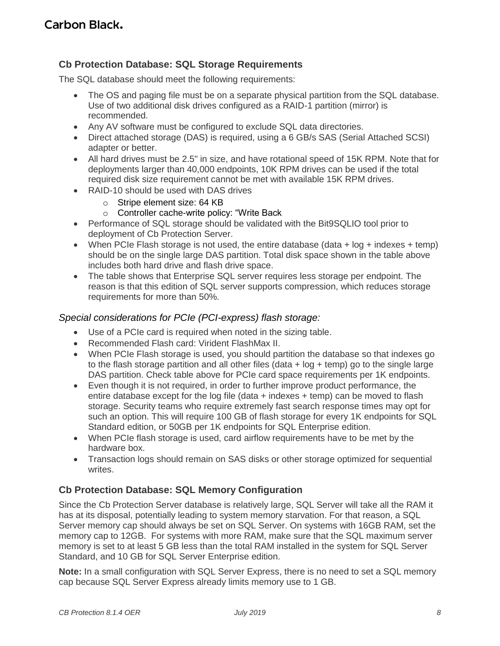# <span id="page-7-0"></span>**Cb Protection Database: SQL Storage Requirements**

The SQL database should meet the following requirements:

- The OS and paging file must be on a separate physical partition from the SQL database. Use of two additional disk drives configured as a RAID-1 partition (mirror) is recommended.
- Any AV software must be configured to exclude SQL data directories.
- Direct attached storage (DAS) is required, using a 6 GB/s SAS (Serial Attached SCSI) adapter or better.
- All hard drives must be 2.5" in size, and have rotational speed of 15K RPM. Note that for deployments larger than 40,000 endpoints, 10K RPM drives can be used if the total required disk size requirement cannot be met with available 15K RPM drives.
- RAID-10 should be used with DAS drives
	- o Stripe element size: 64 KB
	- o Controller cache-write policy: "Write Back
- Performance of SQL storage should be validated with the Bit9SQLIO tool prior to deployment of Cb Protection Server.
- When PCIe Flash storage is not used, the entire database (data  $+$  log  $+$  indexes  $+$  temp) should be on the single large DAS partition. Total disk space shown in the table above includes both hard drive and flash drive space.
- The table shows that Enterprise SQL server requires less storage per endpoint. The reason is that this edition of SQL server supports compression, which reduces storage requirements for more than 50%.

#### *Special considerations for PCIe (PCI-express) flash storage:*

- Use of a PCIe card is required when noted in the sizing table.
- Recommended Flash card: Virident FlashMax II.
- When PCIe Flash storage is used, you should partition the database so that indexes go to the flash storage partition and all other files (data + log + temp) go to the single large DAS partition. Check table above for PCIe card space requirements per 1K endpoints.
- Even though it is not required, in order to further improve product performance, the entire database except for the log file (data  $+$  indexes  $+$  temp) can be moved to flash storage. Security teams who require extremely fast search response times may opt for such an option. This will require 100 GB of flash storage for every 1K endpoints for SQL Standard edition, or 50GB per 1K endpoints for SQL Enterprise edition.
- When PCIe flash storage is used, card airflow requirements have to be met by the hardware box.
- Transaction logs should remain on SAS disks or other storage optimized for sequential writes.

### <span id="page-7-1"></span>**Cb Protection Database: SQL Memory Configuration**

Since the Cb Protection Server database is relatively large, SQL Server will take all the RAM it has at its disposal, potentially leading to system memory starvation. For that reason, a SQL Server memory cap should always be set on SQL Server. On systems with 16GB RAM, set the memory cap to 12GB. For systems with more RAM, make sure that the SQL maximum server memory is set to at least 5 GB less than the total RAM installed in the system for SQL Server Standard, and 10 GB for SQL Server Enterprise edition.

**Note:** In a small configuration with SQL Server Express, there is no need to set a SQL memory cap because SQL Server Express already limits memory use to 1 GB.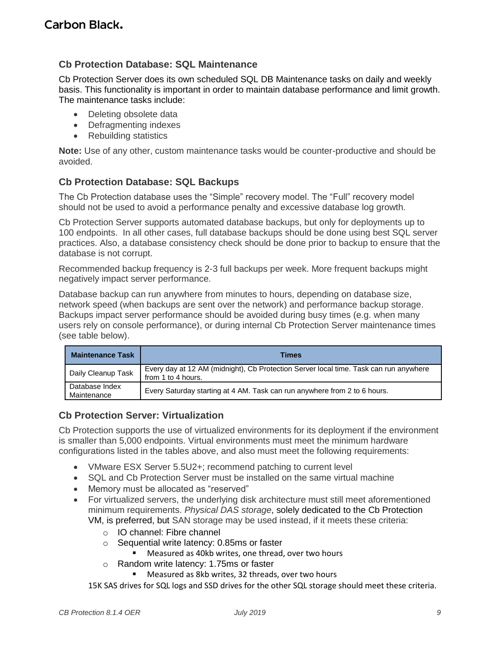### <span id="page-8-0"></span>**Cb Protection Database: SQL Maintenance**

Cb Protection Server does its own scheduled SQL DB Maintenance tasks on daily and weekly basis. This functionality is important in order to maintain database performance and limit growth. The maintenance tasks include:

- Deleting obsolete data
- Defragmenting indexes
- Rebuilding statistics

**Note:** Use of any other, custom maintenance tasks would be counter-productive and should be avoided.

#### <span id="page-8-1"></span>**Cb Protection Database: SQL Backups**

The Cb Protection database uses the "Simple" recovery model. The "Full" recovery model should not be used to avoid a performance penalty and excessive database log growth.

Cb Protection Server supports automated database backups, but only for deployments up to 100 endpoints. In all other cases, full database backups should be done using best SQL server practices. Also, a database consistency check should be done prior to backup to ensure that the database is not corrupt.

Recommended backup frequency is 2-3 full backups per week. More frequent backups might negatively impact server performance.

Database backup can run anywhere from minutes to hours, depending on database size, network speed (when backups are sent over the network) and performance backup storage. Backups impact server performance should be avoided during busy times (e.g. when many users rely on console performance), or during internal Cb Protection Server maintenance times (see table below).

| <b>Maintenance Task</b>       | Times                                                                                                       |
|-------------------------------|-------------------------------------------------------------------------------------------------------------|
| Daily Cleanup Task            | Every day at 12 AM (midnight), Cb Protection Server local time. Task can run anywhere<br>from 1 to 4 hours. |
| Database Index<br>Maintenance | Every Saturday starting at 4 AM. Task can run anywhere from 2 to 6 hours.                                   |

#### <span id="page-8-2"></span>**Cb Protection Server: Virtualization**

Cb Protection supports the use of virtualized environments for its deployment if the environment is smaller than 5,000 endpoints. Virtual environments must meet the minimum hardware configurations listed in the tables above, and also must meet the following requirements:

- VMware ESX Server 5.5U2+; recommend patching to current level
- SQL and Cb Protection Server must be installed on the same virtual machine
- Memory must be allocated as "reserved"
- For virtualized servers, the underlying disk architecture must still meet aforementioned minimum requirements. *Physical DAS storage*, solely dedicated to the Cb Protection VM, is preferred, but SAN storage may be used instead, if it meets these criteria:
	- o IO channel: Fibre channel
	- o Sequential write latency: 0.85ms or faster
		- Measured as 40kb writes, one thread, over two hours
	- o Random write latency: 1.75ms or faster
		- Measured as 8kb writes, 32 threads, over two hours

15K SAS drives for SQL logs and SSD drives for the other SQL storage should meet these criteria.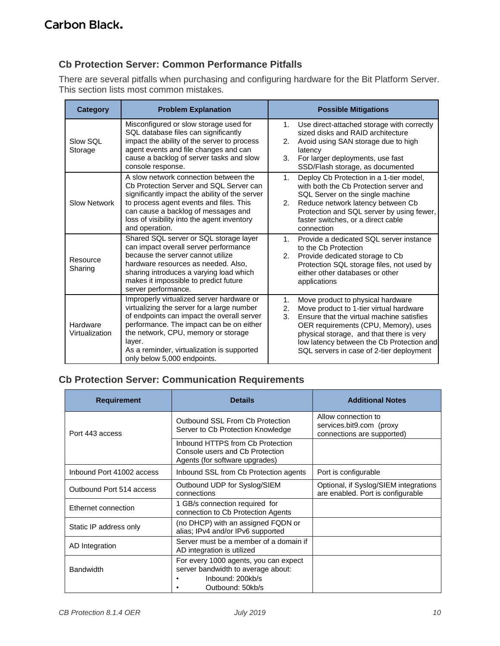# <span id="page-9-0"></span>**Cb Protection Server: Common Performance Pitfalls**

There are several pitfalls when purchasing and configuring hardware for the Bit Platform Server. This section lists most common mistakes.

| <b>Category</b>            | <b>Problem Explanation</b>                                                                                                                                                                                                                                                                                      | <b>Possible Mitigations</b>                                                                                                                                                                                                                                                                                              |
|----------------------------|-----------------------------------------------------------------------------------------------------------------------------------------------------------------------------------------------------------------------------------------------------------------------------------------------------------------|--------------------------------------------------------------------------------------------------------------------------------------------------------------------------------------------------------------------------------------------------------------------------------------------------------------------------|
| Slow SQL<br>Storage        | Misconfigured or slow storage used for<br>SQL database files can significantly<br>impact the ability of the server to process<br>agent events and file changes and can<br>cause a backlog of server tasks and slow<br>console response.                                                                         | Use direct-attached storage with correctly<br>1.<br>sized disks and RAID architecture<br>Avoid using SAN storage due to high<br>2.<br>latency<br>3.<br>For larger deployments, use fast<br>SSD/Flash storage, as documented                                                                                              |
| <b>Slow Network</b>        | A slow network connection between the<br>Cb Protection Server and SQL Server can<br>significantly impact the ability of the server<br>to process agent events and files. This<br>can cause a backlog of messages and<br>loss of visibility into the agent inventory<br>and operation.                           | Deploy Cb Protection in a 1-tier model,<br>1.<br>with both the Cb Protection server and<br>SQL Server on the single machine<br>Reduce network latency between Cb<br>2.<br>Protection and SQL server by using fewer,<br>faster switches, or a direct cable<br>connection                                                  |
| Resource<br>Sharing        | Shared SQL server or SQL storage layer<br>can impact overall server performance<br>because the server cannot utilize<br>hardware resources as needed. Also,<br>sharing introduces a varying load which<br>makes it impossible to predict future<br>server performance.                                          | Provide a dedicated SQL server instance<br>1.<br>to the Cb Protection<br>2.<br>Provide dedicated storage to Cb<br>Protection SQL storage files, not used by<br>either other databases or other<br>applications                                                                                                           |
| Hardware<br>Virtualization | Improperly virtualized server hardware or<br>virtualizing the server for a large number<br>of endpoints can impact the overall server<br>performance. The impact can be on either<br>the network, CPU, memory or storage<br>layer.<br>As a reminder, virtualization is supported<br>only below 5,000 endpoints. | Move product to physical hardware<br>1.<br>Move product to 1-tier virtual hardware<br>2.<br>3.<br>Ensure that the virtual machine satisfies<br>OER requirements (CPU, Memory), uses<br>physical storage, and that there is very<br>low latency between the Cb Protection and<br>SQL servers in case of 2-tier deployment |

# <span id="page-9-1"></span>**Cb Protection Server: Communication Requirements**

| <b>Requirement</b>        | <b>Details</b>                                                                                                      | <b>Additional Notes</b>                                                       |
|---------------------------|---------------------------------------------------------------------------------------------------------------------|-------------------------------------------------------------------------------|
| Port 443 access           | Outbound SSL From Cb Protection<br>Server to Cb Protection Knowledge                                                | Allow connection to<br>services.bit9.com (proxy<br>connections are supported) |
|                           | Inbound HTTPS from Cb Protection<br>Console users and Cb Protection<br>Agents (for software upgrades)               |                                                                               |
| Inbound Port 41002 access | Inbound SSL from Cb Protection agents                                                                               | Port is configurable                                                          |
| Outbound Port 514 access  | Outbound UDP for Syslog/SIEM<br>connections                                                                         | Optional, if Syslog/SIEM integrations<br>are enabled. Port is configurable    |
| Ethernet connection       | 1 GB/s connection required for<br>connection to Cb Protection Agents                                                |                                                                               |
| Static IP address only    | (no DHCP) with an assigned FQDN or<br>alias; IPv4 and/or IPv6 supported                                             |                                                                               |
| AD Integration            | Server must be a member of a domain if<br>AD integration is utilized                                                |                                                                               |
| <b>Bandwidth</b>          | For every 1000 agents, you can expect<br>server bandwidth to average about:<br>Inbound: 200kb/s<br>Outbound: 50kb/s |                                                                               |